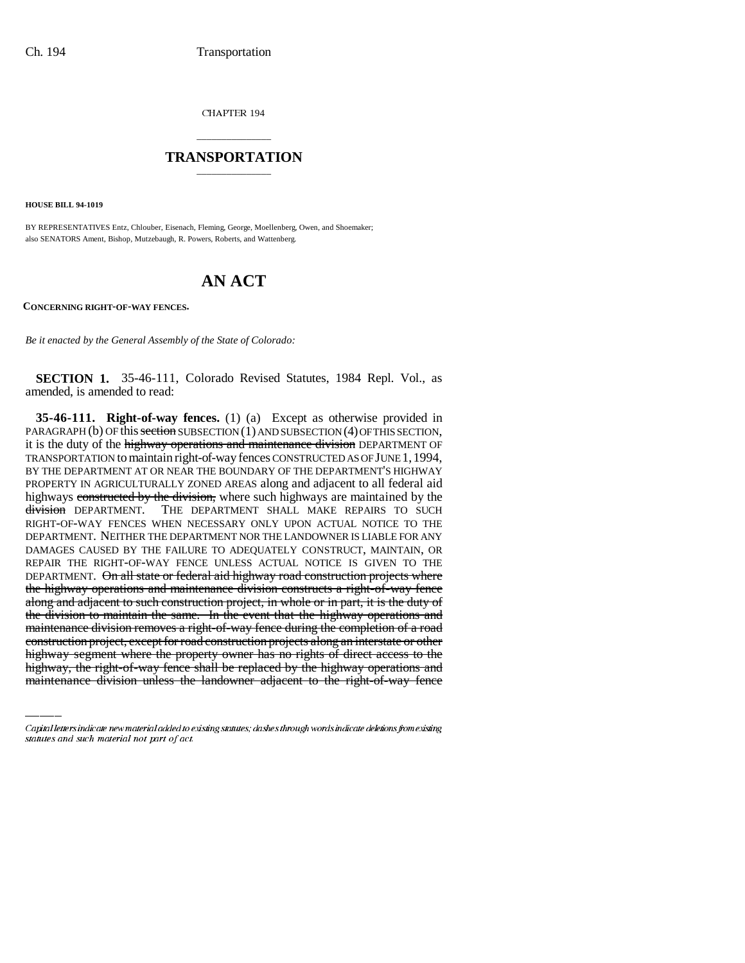CHAPTER 194

## \_\_\_\_\_\_\_\_\_\_\_\_\_\_\_ **TRANSPORTATION** \_\_\_\_\_\_\_\_\_\_\_\_\_\_\_

**HOUSE BILL 94-1019**

BY REPRESENTATIVES Entz, Chlouber, Eisenach, Fleming, George, Moellenberg, Owen, and Shoemaker; also SENATORS Ament, Bishop, Mutzebaugh, R. Powers, Roberts, and Wattenberg.

## **AN ACT**

**CONCERNING RIGHT-OF-WAY FENCES.**

*Be it enacted by the General Assembly of the State of Colorado:*

**SECTION 1.** 35-46-111, Colorado Revised Statutes, 1984 Repl. Vol., as amended, is amended to read:

maintenance division removes a right-of-way fence during the completion of a road **35-46-111. Right-of-way fences.** (1) (a) Except as otherwise provided in PARAGRAPH (b) OF this section SUBSECTION (1) AND SUBSECTION (4) OF THIS SECTION, it is the duty of the highway operations and maintenance division DEPARTMENT OF TRANSPORTATION to maintain right-of-way fences CONSTRUCTED AS OF JUNE 1,1994, BY THE DEPARTMENT AT OR NEAR THE BOUNDARY OF THE DEPARTMENT'S HIGHWAY PROPERTY IN AGRICULTURALLY ZONED AREAS along and adjacent to all federal aid highways constructed by the division, where such highways are maintained by the division DEPARTMENT. THE DEPARTMENT SHALL MAKE REPAIRS TO SUCH RIGHT-OF-WAY FENCES WHEN NECESSARY ONLY UPON ACTUAL NOTICE TO THE DEPARTMENT. NEITHER THE DEPARTMENT NOR THE LANDOWNER IS LIABLE FOR ANY DAMAGES CAUSED BY THE FAILURE TO ADEQUATELY CONSTRUCT, MAINTAIN, OR REPAIR THE RIGHT-OF-WAY FENCE UNLESS ACTUAL NOTICE IS GIVEN TO THE DEPARTMENT. On all state or federal aid highway road construction projects where the highway operations and maintenance division constructs a right-of-way fence along and adjacent to such construction project, in whole or in part, it is the duty of the division to maintain the same. In the event that the highway operations and construction project, except for road construction projects along an interstate or other highway segment where the property owner has no rights of direct access to the highway, the right-of-way fence shall be replaced by the highway operations and maintenance division unless the landowner adjacent to the right-of-way fence

Capital letters indicate new material added to existing statutes; dashes through words indicate deletions from existing statutes and such material not part of act.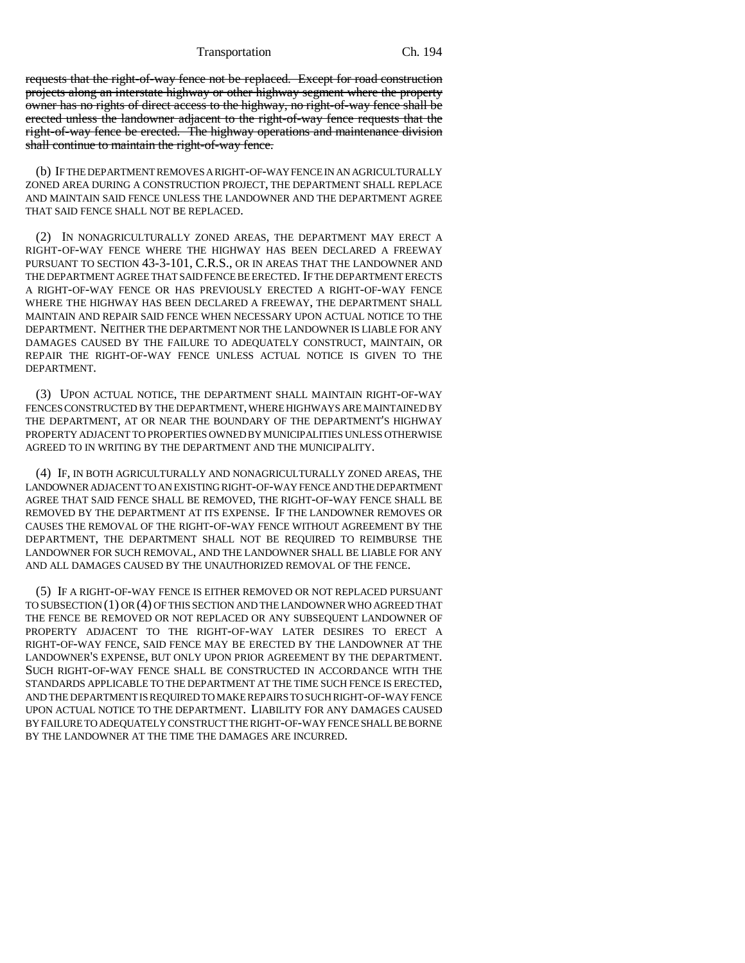Transportation Ch. 194

requests that the right-of-way fence not be replaced. Except for road construction projects along an interstate highway or other highway segment where the property owner has no rights of direct access to the highway, no right-of-way fence shall be erected unless the landowner adjacent to the right-of-way fence requests that the right-of-way fence be erected. The highway operations and maintenance division shall continue to maintain the right-of-way fence.

(b) IF THE DEPARTMENT REMOVES A RIGHT-OF-WAY FENCE IN AN AGRICULTURALLY ZONED AREA DURING A CONSTRUCTION PROJECT, THE DEPARTMENT SHALL REPLACE AND MAINTAIN SAID FENCE UNLESS THE LANDOWNER AND THE DEPARTMENT AGREE THAT SAID FENCE SHALL NOT BE REPLACED.

(2) IN NONAGRICULTURALLY ZONED AREAS, THE DEPARTMENT MAY ERECT A RIGHT-OF-WAY FENCE WHERE THE HIGHWAY HAS BEEN DECLARED A FREEWAY PURSUANT TO SECTION 43-3-101, C.R.S., OR IN AREAS THAT THE LANDOWNER AND THE DEPARTMENT AGREE THAT SAID FENCE BE ERECTED. IF THE DEPARTMENT ERECTS A RIGHT-OF-WAY FENCE OR HAS PREVIOUSLY ERECTED A RIGHT-OF-WAY FENCE WHERE THE HIGHWAY HAS BEEN DECLARED A FREEWAY, THE DEPARTMENT SHALL MAINTAIN AND REPAIR SAID FENCE WHEN NECESSARY UPON ACTUAL NOTICE TO THE DEPARTMENT. NEITHER THE DEPARTMENT NOR THE LANDOWNER IS LIABLE FOR ANY DAMAGES CAUSED BY THE FAILURE TO ADEQUATELY CONSTRUCT, MAINTAIN, OR REPAIR THE RIGHT-OF-WAY FENCE UNLESS ACTUAL NOTICE IS GIVEN TO THE DEPARTMENT.

(3) UPON ACTUAL NOTICE, THE DEPARTMENT SHALL MAINTAIN RIGHT-OF-WAY FENCES CONSTRUCTED BY THE DEPARTMENT, WHERE HIGHWAYS ARE MAINTAINED BY THE DEPARTMENT, AT OR NEAR THE BOUNDARY OF THE DEPARTMENT'S HIGHWAY PROPERTY ADJACENT TO PROPERTIES OWNED BY MUNICIPALITIES UNLESS OTHERWISE AGREED TO IN WRITING BY THE DEPARTMENT AND THE MUNICIPALITY.

(4) IF, IN BOTH AGRICULTURALLY AND NONAGRICULTURALLY ZONED AREAS, THE LANDOWNER ADJACENT TO AN EXISTING RIGHT-OF-WAY FENCE AND THE DEPARTMENT AGREE THAT SAID FENCE SHALL BE REMOVED, THE RIGHT-OF-WAY FENCE SHALL BE REMOVED BY THE DEPARTMENT AT ITS EXPENSE. IF THE LANDOWNER REMOVES OR CAUSES THE REMOVAL OF THE RIGHT-OF-WAY FENCE WITHOUT AGREEMENT BY THE DEPARTMENT, THE DEPARTMENT SHALL NOT BE REQUIRED TO REIMBURSE THE LANDOWNER FOR SUCH REMOVAL, AND THE LANDOWNER SHALL BE LIABLE FOR ANY AND ALL DAMAGES CAUSED BY THE UNAUTHORIZED REMOVAL OF THE FENCE.

(5) IF A RIGHT-OF-WAY FENCE IS EITHER REMOVED OR NOT REPLACED PURSUANT TO SUBSECTION (1) OR (4) OF THIS SECTION AND THE LANDOWNER WHO AGREED THAT THE FENCE BE REMOVED OR NOT REPLACED OR ANY SUBSEQUENT LANDOWNER OF PROPERTY ADJACENT TO THE RIGHT-OF-WAY LATER DESIRES TO ERECT A RIGHT-OF-WAY FENCE, SAID FENCE MAY BE ERECTED BY THE LANDOWNER AT THE LANDOWNER'S EXPENSE, BUT ONLY UPON PRIOR AGREEMENT BY THE DEPARTMENT. SUCH RIGHT-OF-WAY FENCE SHALL BE CONSTRUCTED IN ACCORDANCE WITH THE STANDARDS APPLICABLE TO THE DEPARTMENT AT THE TIME SUCH FENCE IS ERECTED, AND THE DEPARTMENT IS REQUIRED TO MAKE REPAIRS TO SUCH RIGHT-OF-WAY FENCE UPON ACTUAL NOTICE TO THE DEPARTMENT. LIABILITY FOR ANY DAMAGES CAUSED BY FAILURE TO ADEQUATELY CONSTRUCT THE RIGHT-OF-WAY FENCE SHALL BE BORNE BY THE LANDOWNER AT THE TIME THE DAMAGES ARE INCURRED.